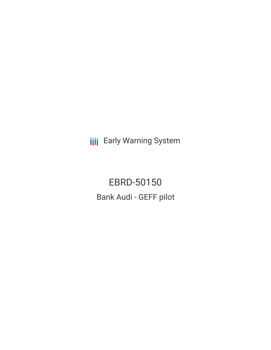**III** Early Warning System

EBRD-50150 Bank Audi - GEFF pilot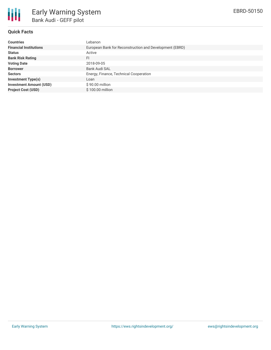

# **Quick Facts**

| <b>Countries</b>               | Lebanon                                                 |
|--------------------------------|---------------------------------------------------------|
| <b>Financial Institutions</b>  | European Bank for Reconstruction and Development (EBRD) |
| <b>Status</b>                  | Active                                                  |
| <b>Bank Risk Rating</b>        | FI                                                      |
| <b>Voting Date</b>             | 2018-09-05                                              |
| <b>Borrower</b>                | <b>Bank Audi SAL</b>                                    |
| <b>Sectors</b>                 | Energy, Finance, Technical Cooperation                  |
| <b>Investment Type(s)</b>      | Loan                                                    |
| <b>Investment Amount (USD)</b> | $$90.00$ million                                        |
| <b>Project Cost (USD)</b>      | \$100.00 million                                        |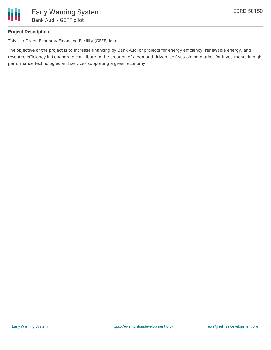

# **Project Description**

This is a Green Economy Financing Facility (GEFF) loan.

The objective of the project is to increase financing by Bank Audi of projects for energy efficiency, renewable energy, and resource efficiency in Lebanon to contribute to the creation of a demand-driven, self-sustaining market for investments in highperformance technologies and services supporting a green economy.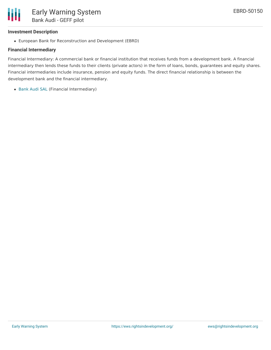### **Investment Description**

European Bank for Reconstruction and Development (EBRD)

#### **Financial Intermediary**

Financial Intermediary: A commercial bank or financial institution that receives funds from a development bank. A financial intermediary then lends these funds to their clients (private actors) in the form of loans, bonds, guarantees and equity shares. Financial intermediaries include insurance, pension and equity funds. The direct financial relationship is between the development bank and the financial intermediary.

[Bank](file:///actor/571/) Audi SAL (Financial Intermediary)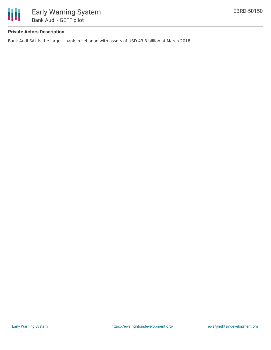

# **Private Actors Description**

Bank Audi SAL is the largest bank in Lebanon with assets of USD 43.3 billion at March 2018.